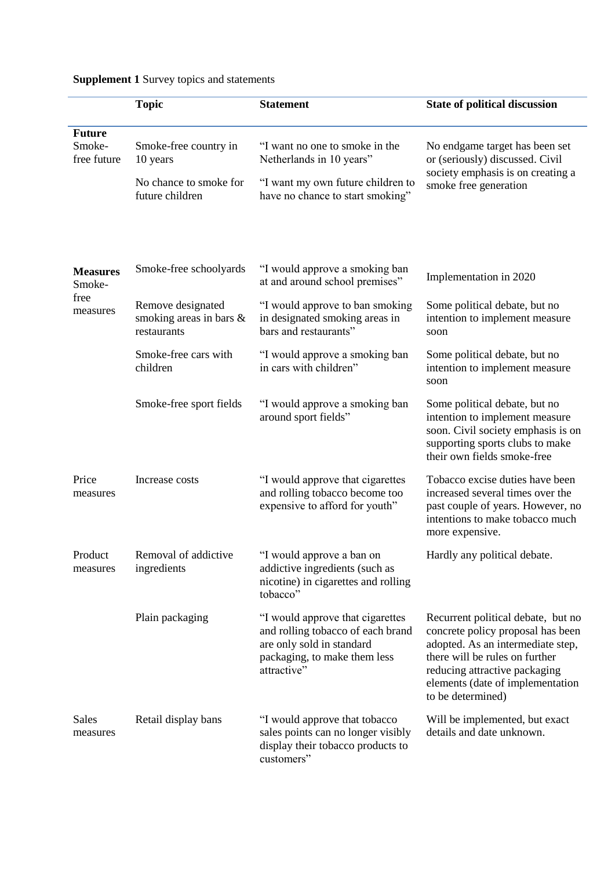|                                               | <b>Topic</b>                                                | <b>Statement</b>                                                                                                                                  | <b>State of political discussion</b>                                                                                                                                                                                                     |
|-----------------------------------------------|-------------------------------------------------------------|---------------------------------------------------------------------------------------------------------------------------------------------------|------------------------------------------------------------------------------------------------------------------------------------------------------------------------------------------------------------------------------------------|
| <b>Future</b><br>Smoke-<br>free future        | Smoke-free country in<br>10 years                           | "I want no one to smoke in the<br>Netherlands in 10 years"                                                                                        | No endgame target has been set<br>or (seriously) discussed. Civil<br>society emphasis is on creating a<br>smoke free generation                                                                                                          |
|                                               | No chance to smoke for<br>future children                   | "I want my own future children to<br>have no chance to start smoking"                                                                             |                                                                                                                                                                                                                                          |
| <b>Measures</b><br>Smoke-<br>free<br>measures | Smoke-free schoolyards                                      | "I would approve a smoking ban<br>at and around school premises"                                                                                  | Implementation in 2020                                                                                                                                                                                                                   |
|                                               | Remove designated<br>smoking areas in bars &<br>restaurants | "I would approve to ban smoking<br>in designated smoking areas in<br>bars and restaurants"                                                        | Some political debate, but no<br>intention to implement measure<br>soon                                                                                                                                                                  |
|                                               | Smoke-free cars with<br>children                            | "I would approve a smoking ban<br>in cars with children"                                                                                          | Some political debate, but no<br>intention to implement measure<br>soon                                                                                                                                                                  |
|                                               | Smoke-free sport fields                                     | "I would approve a smoking ban<br>around sport fields"                                                                                            | Some political debate, but no<br>intention to implement measure<br>soon. Civil society emphasis is on<br>supporting sports clubs to make<br>their own fields smoke-free                                                                  |
| Price<br>measures                             | Increase costs                                              | "I would approve that cigarettes<br>and rolling tobacco become too<br>expensive to afford for youth"                                              | Tobacco excise duties have been<br>increased several times over the<br>past couple of years. However, no<br>intentions to make tobacco much<br>more expensive.                                                                           |
| Product<br>measures                           | Removal of addictive<br>ingredients                         | "I would approve a ban on<br>addictive ingredients (such as<br>nicotine) in cigarettes and rolling<br>tobacco"                                    | Hardly any political debate.                                                                                                                                                                                                             |
|                                               | Plain packaging                                             | "I would approve that cigarettes<br>and rolling tobacco of each brand<br>are only sold in standard<br>packaging, to make them less<br>attractive" | Recurrent political debate, but no<br>concrete policy proposal has been<br>adopted. As an intermediate step,<br>there will be rules on further<br>reducing attractive packaging<br>elements (date of implementation<br>to be determined) |
| <b>Sales</b><br>measures                      | Retail display bans                                         | "I would approve that tobacco<br>sales points can no longer visibly<br>display their tobacco products to<br>customers"                            | Will be implemented, but exact<br>details and date unknown.                                                                                                                                                                              |

## **Supplement 1** Survey topics and statements